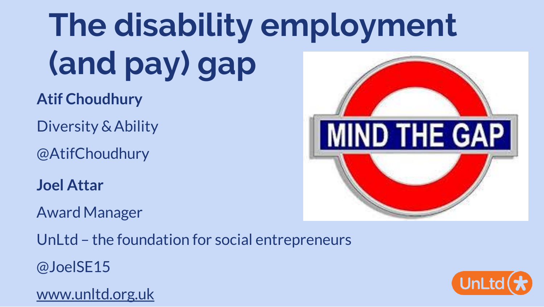# **The disability employment (and pay) gap**

**Atif Choudhury**

Diversity & Ability

@AtifChoudhury

**Joel Attar**

Award Manager

UnLtd – the foundation for social entrepreneurs

@JoelSE15

[www.unltd.org.uk](http://www.unltd.org.uk/)



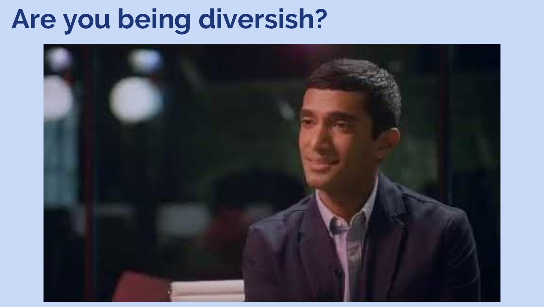# **Are you being diversish?**

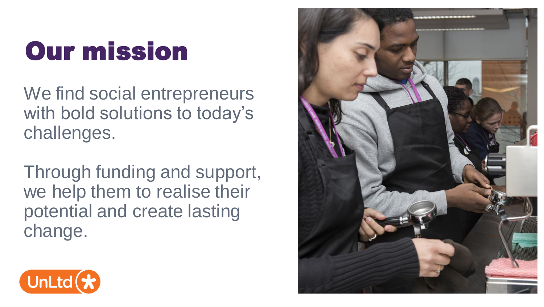# Our mission

We find social entrepreneurs with bold solutions to today's challenges.

Through funding and support, we help them to realise their potential and create lasting change.



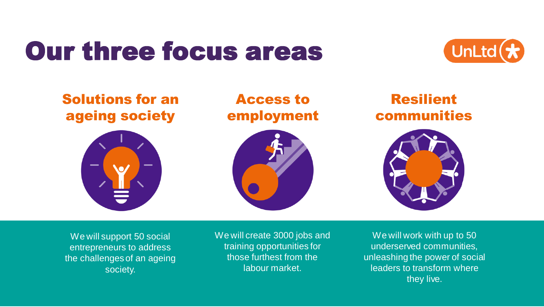## Our three focus areas



### Solutions for an ageing society

### Access to employment





### Resilient communities



We will support 50 social entrepreneurs to address the challenges of an ageing society.

We will create 3000 jobs and training opportunities for those furthest from the labour market.

We will work with up to 50 underserved communities, unleashing the power of social leaders to transform where they live.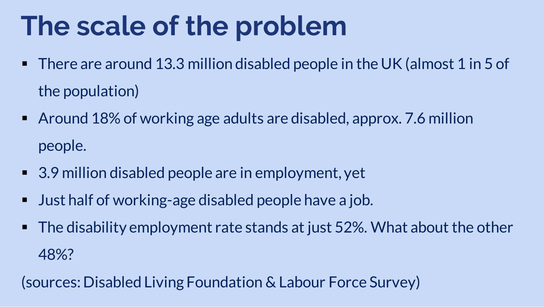# **The scale of the problem**

- There are around 13.3 million disabled people in the UK (almost 1 in 5 of the population)
- Around 18% of working age adults are disabled, approx. 7.6 million people.
- 3.9 million disabled people are in employment, yet
- Just half of working-age disabled people have a job.
- The disability employment rate stands at just 52%. What about the other 48%?

(sources: Disabled Living Foundation & Labour Force Survey)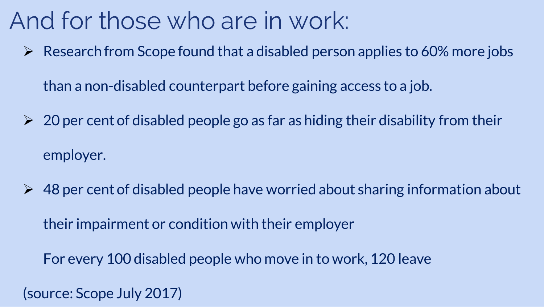## And for those who are in work:

 $\triangleright$  Research from Scope found that a disabled person applies to 60% more jobs

than a non-disabled counterpart before gaining access to a job.

- $\geqslant$  20 per cent of disabled people go as far as hiding their disability from their employer.
- $\geq 48$  per cent of disabled people have worried about sharing information about their impairment or condition with their employer

For every 100 disabled people who move in to work, 120 leave

(source: Scope July 2017)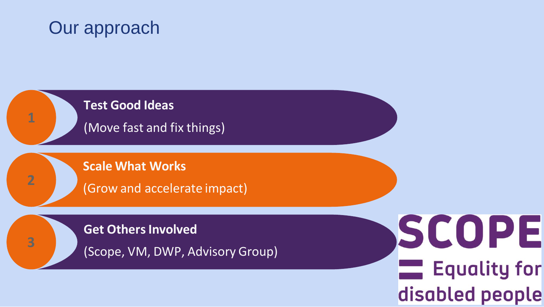### Our approach

**1**

**2**

**3**

#### **Test Good Ideas**

(Move fast and fix things)

**Scale What Works**

(Grow and accelerate impact)

#### **Get Others Involved**

(Scope, VM, DWP, Advisory Group)

SCOPE **Equality for** disabled people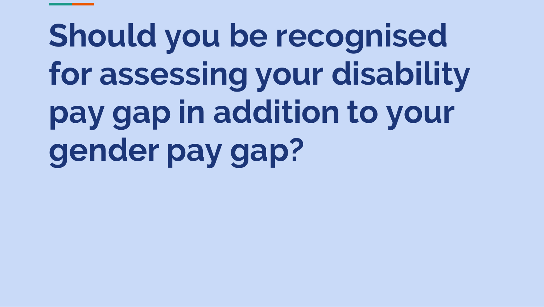# **Should you be recognised for assessing your disability pay gap in addition to your gender pay gap?**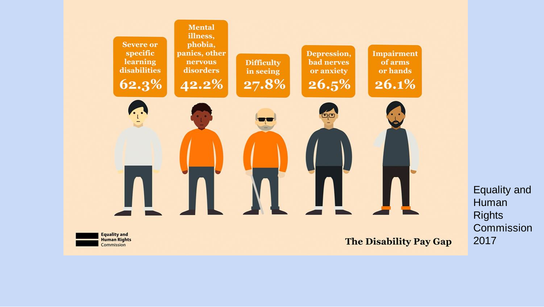

Equality and Human **Rights** Commission 2017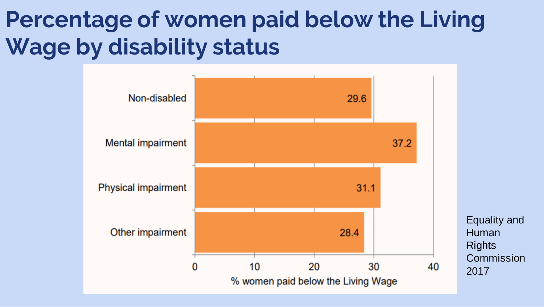## **Percentage of women paid below the Living Wage by disability status**

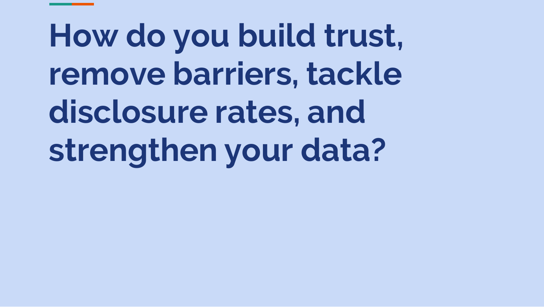# **How do you build trust, remove barriers, tackle disclosure rates, and strengthen your data?**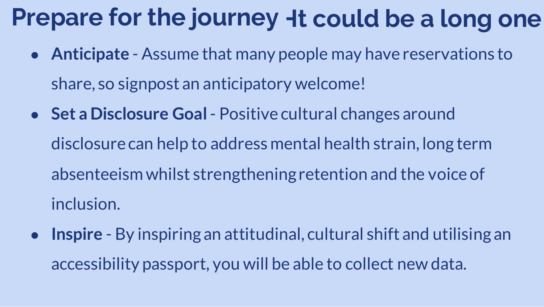## Prepare for the journey **Ht could be a long one**

- **Anticipate**  Assume that many people may have reservations to share, so signpost an anticipatory welcome!
- **Set a Disclosure Goal**  Positive cultural changes around disclosure can help to address mental health strain, long term absenteeism whilst strengthening retention and the voice of inclusion.
- **Inspire**  By inspiring an attitudinal, cultural shift and utilising an accessibility passport, you will be able to collect new data.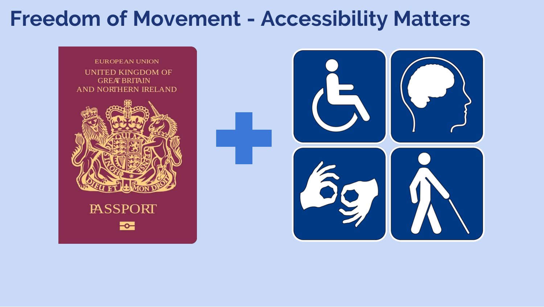## **Freedom of Movement - Accessibility Matters**

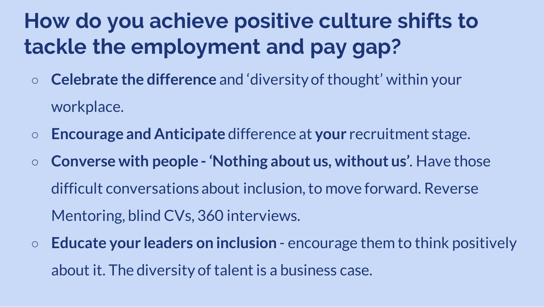## **How do you achieve positive culture shifts to tackle the employment and pay gap?**

- **Celebrate the difference** and 'diversity of thought' within your workplace.
- **Encourage and Anticipate** difference at **your** recruitment stage.
- **Converse with people - 'Nothing about us, without us'**. Have those difficult conversations about inclusion, to move forward. Reverse Mentoring, blind CVs, 360 interviews.
- **Educate your leaders on inclusion** encourage them to think positively about it. The diversity of talent is a business case.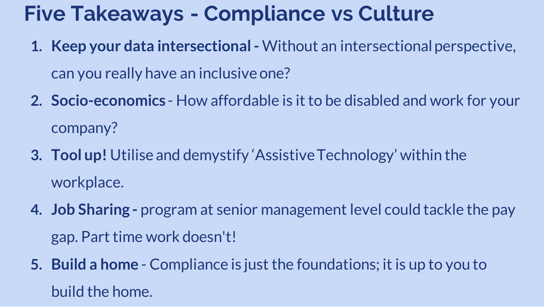## **Five Takeaways - Compliance vs Culture**

- **1. Keep your data intersectional -** Without an intersectional perspective, can you really have an inclusive one?
- **2. Socio-economics**  How affordable is it to be disabled and work for your company?
- **3. Tool up!** Utilise and demystify 'Assistive Technology' within the workplace.
- **4. Job Sharing -** program at senior management level could tackle the pay gap. Part time work doesn't!
- **5. Build a home**  Compliance is just the foundations; it is up to you to build the home.